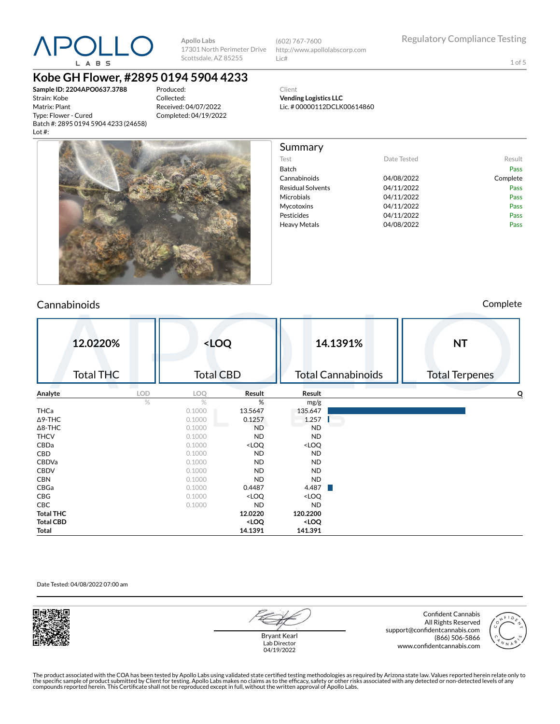

(602) 767-7600 http://www.apollolabscorp.com Lic#

Test **Date Tested** Result Batch Pass Cannabinoids 04/08/2022 Complete Residual Solvents **CA/11/2022** Pass Microbials **04/11/2022** Pass Mycotoxins 04/11/2022 Pass Pesticides **DA/11/2022** Pass Heavy Metals **DA/08/2022** Pass

1 of 5

**Kobe GH Flower, #2895 0194 5904 4233**

**Sample ID: 2204APO0637.3788** Strain: Kobe Matrix: Plant Type: Flower - Cured Batch #: 2895 0194 5904 4233 (24658) Lot #:

Produced: Collected: Received: 04/07/2022 Completed: 04/19/2022 Client **Vending Logistics LLC** Lic. # 00000112DCLK00614860

Summary



### Cannabinoids Complete

|                  | 12.0220%<br><b>Total THC</b> |      | <loq<br><b>Total CBD</b></loq<br> |                                                                   |                                       | 14.1391%<br><b>Total Cannabinoids</b> | <b>NT</b><br><b>Total Terpenes</b> |
|------------------|------------------------------|------|-----------------------------------|-------------------------------------------------------------------|---------------------------------------|---------------------------------------|------------------------------------|
| Analyte          |                              | LOD  | LOQ                               | Result                                                            | Result                                |                                       | о                                  |
|                  |                              | $\%$ | $\%$                              | %                                                                 | mg/g                                  |                                       |                                    |
| <b>THCa</b>      |                              |      | 0.1000                            | 13.5647                                                           | 135.647                               |                                       |                                    |
| $\Delta$ 9-THC   |                              |      | 0.1000                            | 0.1257                                                            | 1.257                                 |                                       |                                    |
| $\Delta$ 8-THC   |                              |      | 0.1000                            | <b>ND</b>                                                         | <b>ND</b>                             |                                       |                                    |
| <b>THCV</b>      |                              |      | 0.1000                            | <b>ND</b>                                                         | <b>ND</b>                             |                                       |                                    |
| CBDa             |                              |      | 0.1000                            | <loq< td=""><td><loq< td=""><td></td><td></td></loq<></td></loq<> | <loq< td=""><td></td><td></td></loq<> |                                       |                                    |
| CBD              |                              |      | 0.1000                            | ND.                                                               | <b>ND</b>                             |                                       |                                    |
| CBDVa            |                              |      | 0.1000                            | ND.                                                               | <b>ND</b>                             |                                       |                                    |
| <b>CBDV</b>      |                              |      | 0.1000                            | ND.                                                               | <b>ND</b>                             |                                       |                                    |
| <b>CBN</b>       |                              |      | 0.1000                            | <b>ND</b>                                                         | <b>ND</b>                             |                                       |                                    |
| CBGa             |                              |      | 0.1000                            | 0.4487                                                            | 4.487                                 |                                       |                                    |
| CBG              |                              |      | 0.1000                            | <loq< td=""><td><loq< td=""><td></td><td></td></loq<></td></loq<> | <loq< td=""><td></td><td></td></loq<> |                                       |                                    |
| CBC              |                              |      | 0.1000                            | <b>ND</b>                                                         | <b>ND</b>                             |                                       |                                    |
| <b>Total THC</b> |                              |      |                                   | 12.0220                                                           | 120.2200                              |                                       |                                    |
| <b>Total CBD</b> |                              |      |                                   | <loq< td=""><td><loq< td=""><td></td><td></td></loq<></td></loq<> | <loq< td=""><td></td><td></td></loq<> |                                       |                                    |
| Total            |                              |      |                                   | 14.1391                                                           | 141.391                               |                                       |                                    |

### Date Tested: 04/08/2022 07:00 am



Bryant Kearl Lab Director 04/19/2022

Confident Cannabis All Rights Reserved support@confidentcannabis.com (866) 506-5866 www.confidentcannabis.com

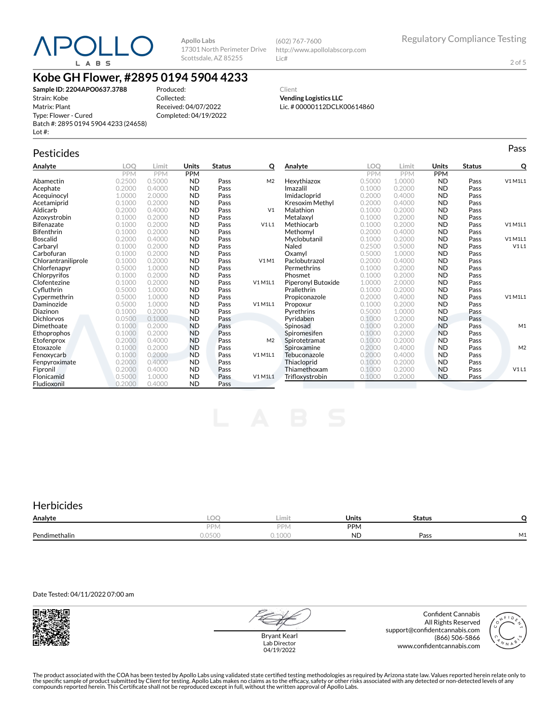

(602) 767-7600 http://www.apollolabscorp.com Lic#

2 of 5

# **Kobe GH Flower, #2895 0194 5904 4233**

**Sample ID: 2204APO0637.3788** Strain: Kobe Matrix: Plant Type: Flower - Cured Batch #: 2895 0194 5904 4233 (24658) Lot #:

Produced: Collected: Received: 04/07/2022 Completed: 04/19/2022

Client **Vending Logistics LLC** Lic. # 00000112DCLK00614860

# Pesticides **Passage of the Contract of Contract Contract of Contract Contract Contract Contract Contract Contract Contract Contract Contract Contract Contract Contract Contract Contract Contract Contract Contract Contract**

| Analyte             | LOO        | Limit      | Units      | <b>Status</b> | о              | Analyte            | LOO        | Limit      | Units      | <b>Status</b> | Q              |
|---------------------|------------|------------|------------|---------------|----------------|--------------------|------------|------------|------------|---------------|----------------|
|                     | <b>PPM</b> | <b>PPM</b> | <b>PPM</b> |               |                |                    | <b>PPM</b> | <b>PPM</b> | <b>PPM</b> |               |                |
| Abamectin           | 0.2500     | 0.5000     | <b>ND</b>  | Pass          | M <sub>2</sub> | Hexythiazox        | 0.5000     | 1.0000     | <b>ND</b>  | Pass          | V1 M1L1        |
| Acephate            | 0.2000     | 0.4000     | <b>ND</b>  | Pass          |                | Imazalil           | 0.1000     | 0.2000     | <b>ND</b>  | Pass          |                |
| Acequinocyl         | 1.0000     | 2.0000     | <b>ND</b>  | Pass          |                | Imidacloprid       | 0.2000     | 0.4000     | <b>ND</b>  | Pass          |                |
| Acetamiprid         | 0.1000     | 0.2000     | <b>ND</b>  | Pass          |                | Kresoxim Methyl    | 0.2000     | 0.4000     | <b>ND</b>  | Pass          |                |
| Aldicarb            | 0.2000     | 0.4000     | <b>ND</b>  | Pass          | V <sub>1</sub> | Malathion          | 0.1000     | 0.2000     | <b>ND</b>  | Pass          |                |
| Azoxystrobin        | 0.1000     | 0.2000     | <b>ND</b>  | Pass          |                | Metalaxyl          | 0.1000     | 0.2000     | <b>ND</b>  | Pass          |                |
| <b>Bifenazate</b>   | 0.1000     | 0.2000     | <b>ND</b>  | Pass          | V1L1           | Methiocarb         | 0.1000     | 0.2000     | <b>ND</b>  | Pass          | V1 M1L1        |
| <b>Bifenthrin</b>   | 0.1000     | 0.2000     | <b>ND</b>  | Pass          |                | Methomyl           | 0.2000     | 0.4000     | <b>ND</b>  | Pass          |                |
| <b>Boscalid</b>     | 0.2000     | 0.4000     | <b>ND</b>  | Pass          |                | Myclobutanil       | 0.1000     | 0.2000     | <b>ND</b>  | Pass          | V1 M1L1        |
| Carbaryl            | 0.1000     | 0.2000     | <b>ND</b>  | Pass          |                | Naled              | 0.2500     | 0.5000     | <b>ND</b>  | Pass          | V1L1           |
| Carbofuran          | 0.1000     | 0.2000     | <b>ND</b>  | Pass          |                | Oxamyl             | 0.5000     | 1.0000     | <b>ND</b>  | Pass          |                |
| Chlorantraniliprole | 0.1000     | 0.2000     | <b>ND</b>  | Pass          | V1M1           | Paclobutrazol      | 0.2000     | 0.4000     | <b>ND</b>  | Pass          |                |
| Chlorfenapyr        | 0.5000     | 1.0000     | <b>ND</b>  | Pass          |                | Permethrins        | 0.1000     | 0.2000     | <b>ND</b>  | Pass          |                |
| Chlorpyrifos        | 0.1000     | 0.2000     | <b>ND</b>  | Pass          |                | Phosmet            | 0.1000     | 0.2000     | <b>ND</b>  | Pass          |                |
| Clofentezine        | 0.1000     | 0.2000     | <b>ND</b>  | Pass          | V1 M1L1        | Piperonyl Butoxide | 1.0000     | 2.0000     | <b>ND</b>  | Pass          |                |
| Cyfluthrin          | 0.5000     | 1.0000     | <b>ND</b>  | Pass          |                | Prallethrin        | 0.1000     | 0.2000     | <b>ND</b>  | Pass          |                |
| Cypermethrin        | 0.5000     | 1.0000     | <b>ND</b>  | Pass          |                | Propiconazole      | 0.2000     | 0.4000     | <b>ND</b>  | Pass          | V1 M1L1        |
| Daminozide          | 0.5000     | 1.0000     | <b>ND</b>  | Pass          | V1 M1L1        | Propoxur           | 0.1000     | 0.2000     | <b>ND</b>  | Pass          |                |
| Diazinon            | 0.1000     | 0.2000     | <b>ND</b>  | Pass          |                | Pyrethrins         | 0.5000     | 1.0000     | <b>ND</b>  | Pass          |                |
| <b>Dichlorvos</b>   | 0.0500     | 0.1000     | <b>ND</b>  | Pass          |                | Pvridaben          | 0.1000     | 0.2000     | <b>ND</b>  | Pass          |                |
| Dimethoate          | 0.1000     | 0.2000     | <b>ND</b>  | Pass          |                | Spinosad           | 0.1000     | 0.2000     | <b>ND</b>  | Pass          | M1             |
| Ethoprophos         | 0.1000     | 0.2000     | <b>ND</b>  | Pass          |                | Spiromesifen       | 0.1000     | 0.2000     | <b>ND</b>  | Pass          |                |
| Etofenprox          | 0.2000     | 0.4000     | <b>ND</b>  | Pass          | M <sub>2</sub> | Spirotetramat      | 0.1000     | 0.2000     | <b>ND</b>  | Pass          |                |
| Etoxazole           | 0.1000     | 0.2000     | <b>ND</b>  | Pass          |                | Spiroxamine        | 0.2000     | 0.4000     | <b>ND</b>  | Pass          | M <sub>2</sub> |
| Fenoxycarb          | 0.1000     | 0.2000     | <b>ND</b>  | Pass          | V1 M1L1        | Tebuconazole       | 0.2000     | 0.4000     | <b>ND</b>  | Pass          |                |
| Fenpyroximate       | 0.2000     | 0.4000     | <b>ND</b>  | Pass          |                | Thiacloprid        | 0.1000     | 0.2000     | <b>ND</b>  | Pass          |                |
| Fipronil            | 0.2000     | 0.4000     | <b>ND</b>  | Pass          |                | Thiamethoxam       | 0.1000     | 0.2000     | <b>ND</b>  | Pass          | V1L1           |
| Flonicamid          | 0.5000     | 1.0000     | <b>ND</b>  | Pass          | V1 M1L1        | Trifloxystrobin    | 0.1000     | 0.2000     | <b>ND</b>  | Pass          |                |
| Fludioxonil         | 0.2000     | 0.4000     | <b>ND</b>  | Pass          |                |                    |            |            |            |               |                |

## **Herbicides**

| Analyte       | $\sim$<br>ームビトー    | Limit           | Units      | <b>Status</b> |                               |
|---------------|--------------------|-----------------|------------|---------------|-------------------------------|
|               | DDN.               | PPN.            | <b>PPM</b> |               |                               |
| Pendimethalin | $\wedge$<br>0.0500 | 1000<br>u. luuu | <b>ND</b>  | Pass          | $\overline{\phantom{a}}$<br>. |

Date Tested: 04/11/2022 07:00 am



Bryant Kearl Lab Director 04/19/2022

Confident Cannabis All Rights Reserved support@confidentcannabis.com (866) 506-5866 www.confidentcannabis.com

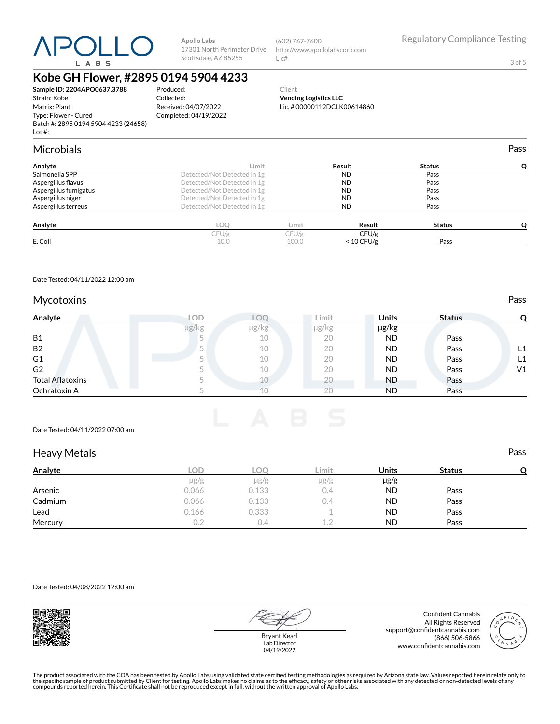

(602) 767-7600 http://www.apollolabscorp.com Lic#

3 of 5

# **Kobe GH Flower, #2895 0194 5904 4233**

**Sample ID: 2204APO0637.3788** Strain: Kobe Matrix: Plant Type: Flower - Cured Batch #: 2895 0194 5904 4233 (24658) Lot #:

Produced: Collected: Received: 04/07/2022 Completed: 04/19/2022

### Client **Vending Logistics LLC** Lic. # 00000112DCLK00614860

| <b>Microbials</b>     |                             |       |              |               | Pass |
|-----------------------|-----------------------------|-------|--------------|---------------|------|
| Analyte               | Limit                       |       | Result       | <b>Status</b> |      |
| Salmonella SPP        | Detected/Not Detected in 1g |       | <b>ND</b>    | Pass          |      |
| Aspergillus flavus    | Detected/Not Detected in 1g |       | <b>ND</b>    | Pass          |      |
| Aspergillus fumigatus | Detected/Not Detected in 1g |       | <b>ND</b>    | Pass          |      |
| Aspergillus niger     | Detected/Not Detected in 1g |       | <b>ND</b>    | Pass          |      |
| Aspergillus terreus   | Detected/Not Detected in 1g |       | <b>ND</b>    | Pass          |      |
| Analyte               | LOQ                         | Limit | Result       | <b>Status</b> |      |
|                       | CFU/g                       | CFU/g | CFU/g        |               |      |
| E. Coli               | 10.0                        | 100.0 | $< 10$ CFU/g | Pass          |      |

Date Tested: 04/11/2022 12:00 am

### Mycotoxins **Pass**

| Analyte                 | LOD   | ZOC   | Limit          | <b>Units</b> | <b>Status</b> |                |
|-------------------------|-------|-------|----------------|--------------|---------------|----------------|
|                         | µg/kg | µg/kg | µg/kg          | µg/kg        |               |                |
| <b>B1</b>               |       | 10    | 20             | <b>ND</b>    | Pass          |                |
| <b>B2</b>               |       | 10    | 20             | <b>ND</b>    | Pass          | L1             |
| G <sub>1</sub>          |       | 10    | 20             | <b>ND</b>    | Pass          | L1             |
| G <sub>2</sub>          |       | 10    | 20             | <b>ND</b>    | Pass          | V <sub>1</sub> |
| <b>Total Aflatoxins</b> |       | 10    | 20             | <b>ND</b>    | Pass          |                |
| Ochratoxin A            |       |       | 2 <sup>c</sup> | <b>ND</b>    | Pass          |                |



### Date Tested: 04/11/2022 07:00 am

### Heavy Metals **Pass**

| Analyte | LOD.      | LOC       | Limit     | <b>Units</b> | <b>Status</b> |  |
|---------|-----------|-----------|-----------|--------------|---------------|--|
|         | $\mu$ g/g | $\mu$ g/g | $\mu$ g/g | $\mu$ g/g    |               |  |
| Arsenic | 0.066     | 0.133     | 0.4       | <b>ND</b>    | Pass          |  |
| Cadmium | 0.066     | 0.133     | 0.4       | ND           | Pass          |  |
| Lead    | 0.166     | 0.333     |           | <b>ND</b>    | Pass          |  |
| Mercury | 0.2       | 0.4       | 12        | <b>ND</b>    | Pass          |  |

Date Tested: 04/08/2022 12:00 am



Bryant Kearl Lab Director 04/19/2022

Confident Cannabis All Rights Reserved support@confidentcannabis.com (866) 506-5866 www.confidentcannabis.com

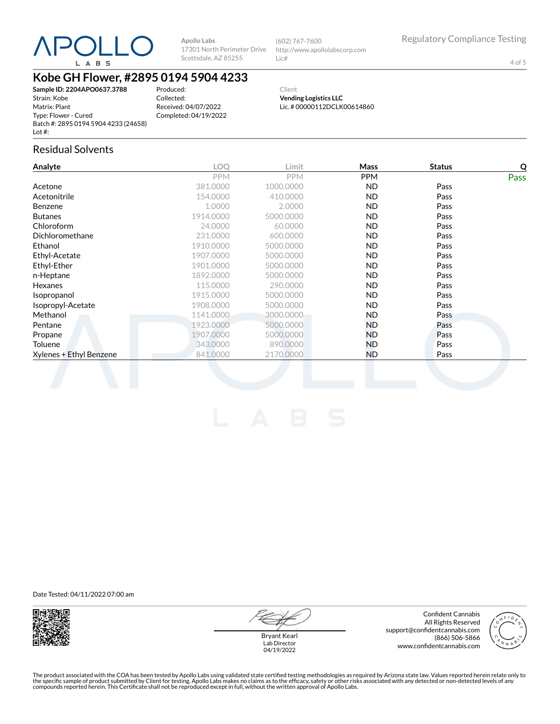

(602) 767-7600 http://www.apollolabscorp.com Lic#

4 of 5

# **Kobe GH Flower, #2895 0194 5904 4233**

**Sample ID: 2204APO0637.3788** Strain: Kobe Matrix: Plant Type: Flower - Cured Batch #: 2895 0194 5904 4233 (24658) Lot #:

Produced: Collected: Received: 04/07/2022 Completed: 04/19/2022

Client **Vending Logistics LLC** Lic. # 00000112DCLK00614860

### Residual Solvents

| Analyte                 | <b>LOO</b> | Limit      | Mass       | <b>Status</b> | Q    |
|-------------------------|------------|------------|------------|---------------|------|
|                         | <b>PPM</b> | <b>PPM</b> | <b>PPM</b> |               | Pass |
| Acetone                 | 381.0000   | 1000.0000  | ND.        | Pass          |      |
| Acetonitrile            | 154.0000   | 410.0000   | ND.        | Pass          |      |
| <b>Benzene</b>          | 1.0000     | 2.0000     | ND.        | Pass          |      |
| <b>Butanes</b>          | 1914.0000  | 5000.0000  | ND.        | Pass          |      |
| Chloroform              | 24.0000    | 60.0000    | ND.        | Pass          |      |
| Dichloromethane         | 231.0000   | 600.0000   | <b>ND</b>  | Pass          |      |
| Ethanol                 | 1910.0000  | 5000.0000  | ND.        | Pass          |      |
| Ethyl-Acetate           | 1907.0000  | 5000.0000  | <b>ND</b>  | Pass          |      |
| Ethyl-Ether             | 1901.0000  | 5000.0000  | ND.        | Pass          |      |
| n-Heptane               | 1892.0000  | 5000.0000  | ND.        | Pass          |      |
| Hexanes                 | 115.0000   | 290,0000   | ND.        | Pass          |      |
| Isopropanol             | 1915.0000  | 5000.0000  | ND.        | Pass          |      |
| Isopropyl-Acetate       | 1908.0000  | 5000.0000  | ND.        | Pass          |      |
| Methanol                | 1141.0000  | 3000.0000  | ND.        | Pass          |      |
| Pentane                 | 1923.0000  | 5000.0000  | ND.        | Pass          |      |
| Propane                 | 1907.0000  | 5000.0000  | ND.        | Pass          |      |
| Toluene                 | 343,0000   | 890,0000   | ND.        | Pass          |      |
| Xylenes + Ethyl Benzene | 841.0000   | 2170.0000  | <b>ND</b>  | Pass          |      |
|                         |            |            |            |               |      |

Date Tested: 04/11/2022 07:00 am



Confident Cannabis All Rights Reserved support@confidentcannabis.com (866) 506-5866 www.confidentcannabis.com



Bryant Kearl Lab Director 04/19/2022